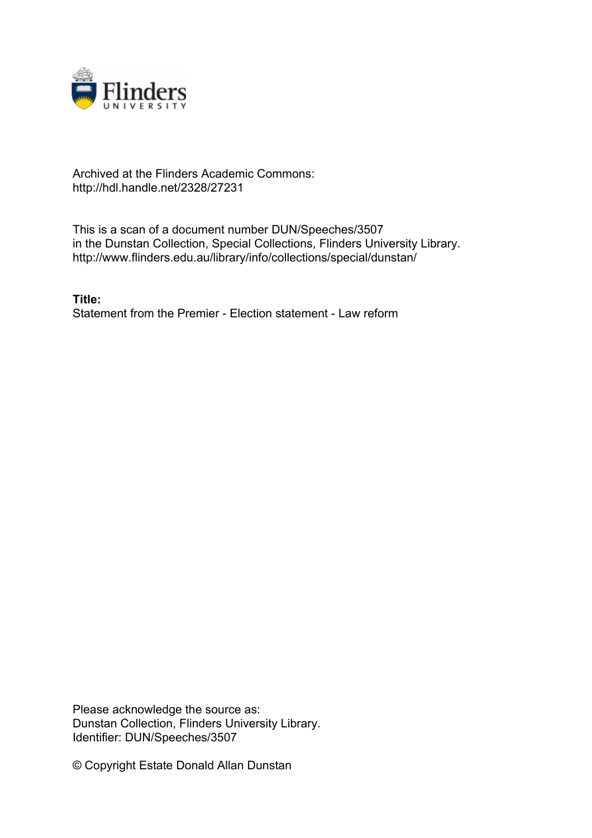

## Archived at the Flinders Academic Commons: http://hdl.handle.net/2328/27231

This is a scan of a document number DUN/Speeches/3507 in the Dunstan Collection, Special Collections, Flinders University Library. http://www.flinders.edu.au/library/info/collections/special/dunstan/

**Title:** Statement from the Premier - Election statement - Law reform

Please acknowledge the source as: Dunstan Collection, Flinders University Library. Identifier: DUN/Speeches/3507

© Copyright Estate Donald Allan Dunstan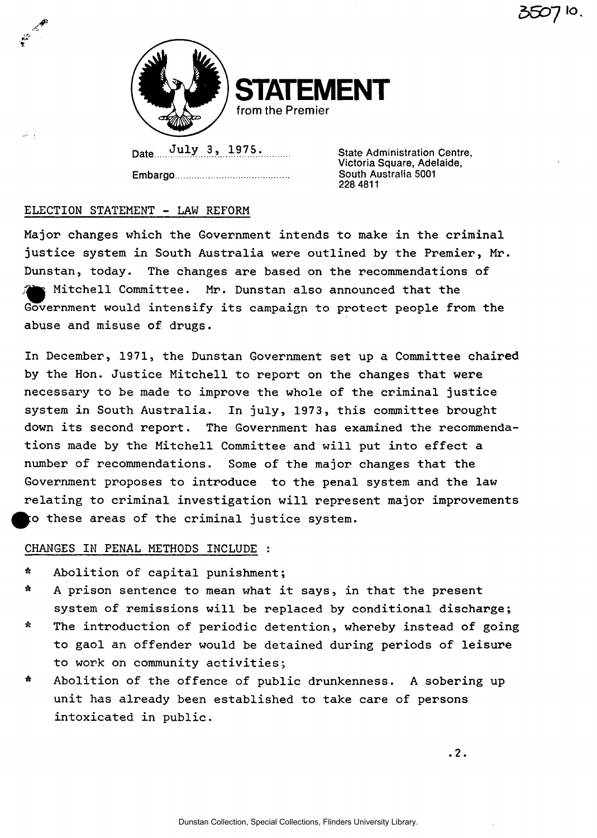

**STATEMENT from the Premier** 

Date July 3, 1975. State Administration Centre, **Embargo** 

**Victoria Square, Adelaide, South Australia 5001 228 4811** 

## **ELECTION STATEMENT - LAW REFORM**

**Major changes which the Government intends to make in the criminal justice system in South Australia were outlined by the Premier, Mr. Dunstan, today. The changes are based on the recommendations of ^ ^ Mitchell Committee. Mr. Dunstan also announced that the Government would intensify its campaign to protect people from the abuse and misuse of drugs.** 

**In December, 1971, the Dunstan Government set up a Committee chaired by the Hon. Justice Mitchell to report on the changes that were necessary to be made to improve the whole of the criminal justice system in South Australia. In july, 1973, this committee brought down its second report. The Government has examined the recommendations made by the Mitchell Committee and will put into effect a number of recommendations. Some of the major changes that the Government proposes to introduce to the penal system and the law relating to criminal investigation will represent major improvements ^^po these areas of the criminal justice system.** 

## **CHANGES IN PENAL METHODS INCLUDE :**

- **\* Abolition of capital punishment;**
- **\* A prison sentence to mean what it says, in that the present system of remissions will be replaced by conditional discharge;**
- **\* The introduction of periodic detention, whereby instead of going to gaol an offender would be detained during periods of leisure to work on community activities;**
- **\* Abolition of the offence of public drunkenness. A sobering up unit has already been established to take care of persons intoxicated in public.**

**.2.**